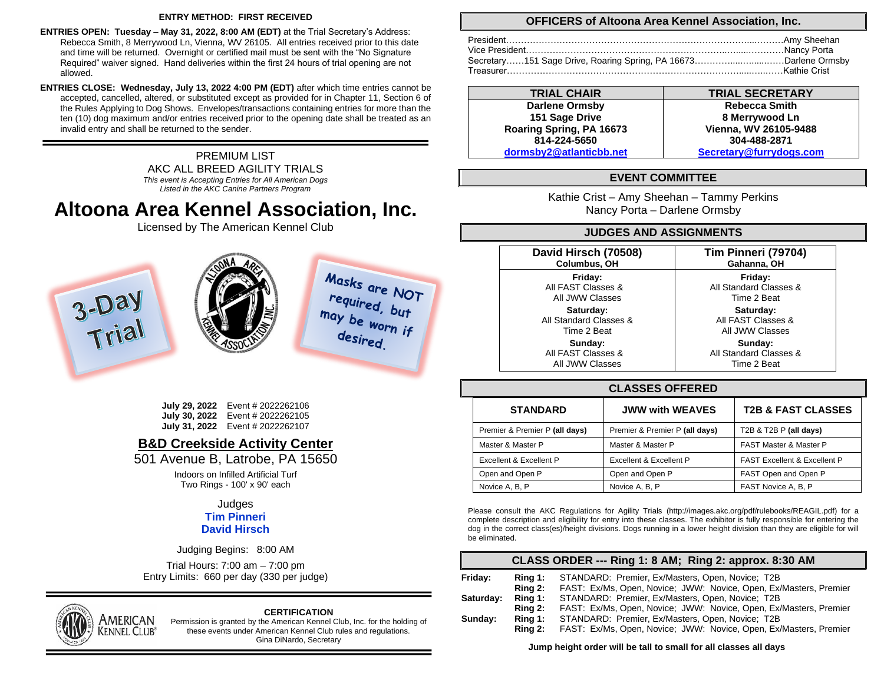#### **ENTRY METHOD: FIRST RECEIVED**

- **ENTRIES OPEN: Tuesday – May 31, 2022, 8:00 AM (EDT)** at the Trial Secretary's Address: Rebecca Smith, 8 Merrywood Ln, Vienna, WV 26105. All entries received prior to this date and time will be returned. Overnight or certified mail must be sent with the "No Signature Required" waiver signed. Hand deliveries within the first 24 hours of trial opening are not allowed.
- **ENTRIES CLOSE: Wednesday, July 13, 2022 4:00 PM (EDT)** after which time entries cannot be accepted, cancelled, altered, or substituted except as provided for in Chapter 11, Section 6 of the Rules Applying to Dog Shows. Envelopes/transactions containing entries for more than the ten (10) dog maximum and/or entries received prior to the opening date shall be treated as an invalid entry and shall be returned to the sender.

PREMIUM LIST AKC ALL BREED AGILITY TRIALS *This event is Accepting Entries for All American Dogs Listed in the AKC Canine Partners Program*

# **Altoona Area Kennel Association, Inc.**

Licensed by The American Kennel Club



Masks are NOT<br>required, but<br>may be worn if<br>desired desired.

**July 29, 2022** Event # 2022262106 **July 30, 2022** Event # 2022262105 **July 31, 2022** Event # 2022262107

# **B&D Creekside Activity Center**

501 Avenue B, Latrobe, PA 15650

Indoors on Infilled Artificial Turf Two Rings - 100' x 90' each

## Judges

#### **Tim Pinneri David Hirsch**

Judging Begins: 8:00 AM

Trial Hours: 7:00 am – 7:00 pm Entry Limits: 660 per day (330 per judge)



#### **CERTIFICATION**

Permission is granted by the American Kennel Club, Inc. for the holding of these events under American Kennel Club rules and regulations. Gina DiNardo, Secretary

## **OFFICERS of Altoona Area Kennel Association, Inc.**

| Secretary151 Sage Drive, Roaring Spring, PA 16673Darlene Ormsby |  |
|-----------------------------------------------------------------|--|
| Treasurer……………………………………………………………………………………Kathie Crist           |  |

| <b>TRIAL CHAIR</b>       | <b>TRIAL SECRETARY</b>  |
|--------------------------|-------------------------|
| Darlene Ormsby           | <b>Rebecca Smith</b>    |
| 151 Sage Drive           | 8 Merrywood Ln          |
| Roaring Spring, PA 16673 | Vienna, WV 26105-9488   |
| 814-224-5650             | 304-488-2871            |
| dormsby2@atlanticbb.net  | Secretary@furrydogs.com |
|                          |                         |

# **EVENT COMMITTEE**

Kathie Crist – Amy Sheehan – Tammy Perkins Nancy Porta – Darlene Ormsby

# **JUDGES AND ASSIGNMENTS**

| David Hirsch (70508)   | Tim Pinneri (79704)    |
|------------------------|------------------------|
| <b>Columbus, OH</b>    | Gahanna, OH            |
| Friday:                | Friday:                |
| All FAST Classes &     | All Standard Classes & |
| All JWW Classes        | Time 2 Beat            |
| Saturday:              | Saturday:              |
| All Standard Classes & | All FAST Classes &     |
| Time 2 Beat            | All JWW Classes        |
| Sunday:                | Sunday:                |
| All FAST Classes &     | All Standard Classes & |
| All JWW Classes        | Time 2 Beat            |

# **CLASSES OFFERED**

| <b>STANDARD</b>                | <b>JWW with WEAVES</b>         | <b>T2B &amp; FAST CLASSES</b>           |
|--------------------------------|--------------------------------|-----------------------------------------|
| Premier & Premier P (all days) | Premier & Premier P (all days) | T2B & T2B P (all days)                  |
| Master & Master P              | Master & Master P              | <b>FAST Master &amp; Master P</b>       |
| Excellent & Excellent P        | Excellent & Excellent P        | <b>FAST Excellent &amp; Excellent P</b> |
| Open and Open P                | Open and Open P                | FAST Open and Open P                    |
| Novice A, B, P                 | Novice A, B, P                 | FAST Novice A, B, P                     |

Please consult the AKC Regulations for Agility Trials (http://images.akc.org/pdf/rulebooks/REAGIL.pdf) for a complete description and eligibility for entry into these classes. The exhibitor is fully responsible for entering the dog in the correct class(es)/height divisions. Dogs running in a lower height division than they are eligible for will be eliminated.

|           |           | CLASS ORDER --- Ring 1: 8 AM; Ring 2: approx. 8:30 AM             |
|-----------|-----------|-------------------------------------------------------------------|
| Friday:   | Ring 1:   | STANDARD: Premier, Ex/Masters, Open, Novice; T2B                  |
|           | Ring 2:   | FAST: Ex/Ms, Open, Novice; JWW: Novice, Open, Ex/Masters, Premier |
| Saturday: | Ring 1:   | STANDARD: Premier, Ex/Masters, Open, Novice; T2B                  |
|           | Ring 2:   | FAST: Ex/Ms, Open, Novice; JWW: Novice, Open, Ex/Masters, Premier |
| Sunday:   | Ring $1:$ | STANDARD: Premier, Ex/Masters, Open, Novice; T2B                  |
|           | Ring 2:   | FAST: Ex/Ms, Open, Novice; JWW: Novice, Open, Ex/Masters, Premier |
|           |           |                                                                   |

**Jump height order will be tall to small for all classes all days**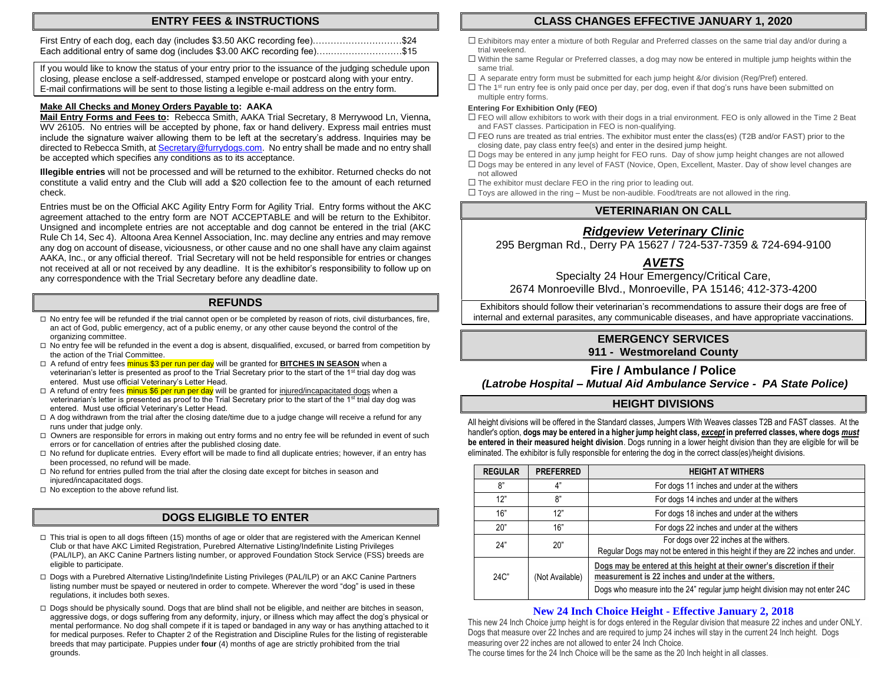## **ENTRY FEES & INSTRUCTIONS**

| First Entry of each dog, each day (includes \$3.50 AKC recording fee)\$24 |  |
|---------------------------------------------------------------------------|--|
| Each additional entry of same dog (includes \$3.00 AKC recording fee)\$15 |  |

If you would like to know the status of your entry prior to the issuance of the judging schedule upon closing, please enclose a self-addressed, stamped envelope or postcard along with your entry. E-mail confirmations will be sent to those listing a legible e-mail address on the entry form.

#### **Make All Checks and Money Orders Payable to: AAKA**

**Mail Entry Forms and Fees to:** Rebecca Smith, AAKA Trial Secretary, 8 Merrywood Ln, Vienna, WV 26105. No entries will be accepted by phone, fax or hand delivery. Express mail entries must include the signature waiver allowing them to be left at the secretary's address. Inquiries may be directed to Rebecca Smith, at [Secretary@furrydogs.com.](mailto:Secretary@furrydogs.com) No entry shall be made and no entry shall be accepted which specifies any conditions as to its acceptance.

**Illegible entries** will not be processed and will be returned to the exhibitor. Returned checks do not constitute a valid entry and the Club will add a \$20 collection fee to the amount of each returned check.

Entries must be on the Official AKC Agility Entry Form for Agility Trial. Entry forms without the AKC agreement attached to the entry form are NOT ACCEPTABLE and will be return to the Exhibitor. Unsigned and incomplete entries are not acceptable and dog cannot be entered in the trial (AKC Rule Ch 14, Sec 4). Altoona Area Kennel Association, Inc. may decline any entries and may remove any dog on account of disease, viciousness, or other cause and no one shall have any claim against AAKA, Inc., or any official thereof. Trial Secretary will not be held responsible for entries or changes not received at all or not received by any deadline.It is the exhibitor's responsibility to follow up on any correspondence with the Trial Secretary before any deadline date.

## **REFUNDS**

- $\Box$  No entry fee will be refunded if the trial cannot open or be completed by reason of riots, civil disturbances, fire, an act of God, public emergency, act of a public enemy, or any other cause beyond the control of the organizing committee.
- $\Box$  No entry fee will be refunded in the event a dog is absent, disqualified, excused, or barred from competition by the action of the Trial Committee.
- A refund of entry fees minus \$3 per run per day will be granted for **BITCHES IN SEASON** when a veterinarian's letter is presented as proof to the Trial Secretary prior to the start of the 1<sup>st</sup> trial day dog was entered. Must use official Veterinary's Letter Head.
- $\Box$  A refund of entry fees minus \$6 per run per day will be granted for injured/incapacitated dogs when a veterinarian's letter is presented as proof to the Trial Secretary prior to the start of the 1st trial day dog was entered. Must use official Veterinary's Letter Head.
- $\Box$  A dog withdrawn from the trial after the closing date/time due to a judge change will receive a refund for any runs under that judge only.
- $\Box$  Owners are responsible for errors in making out entry forms and no entry fee will be refunded in event of such errors or for cancellation of entries after the published closing date.
- $\Box$  No refund for duplicate entries. Every effort will be made to find all duplicate entries; however, if an entry has been processed, no refund will be made.
- $\Box$  No refund for entries pulled from the trial after the closing date except for bitches in season and injured/incapacitated dogs.
- $\Box$  No exception to the above refund list.

# **DOGS ELIGIBLE TO ENTER**

- This trial is open to all dogs fifteen (15) months of age or older that are registered with the American Kennel Club or that have AKC Limited Registration, Purebred Alternative Listing/Indefinite Listing Privileges (PAL/ILP), an AKC Canine Partners listing number, or approved Foundation Stock Service (FSS) breeds are eligible to participate.
- Dogs with a Purebred Alternative Listing/Indefinite Listing Privileges (PAL/ILP) or an AKC Canine Partners listing number must be spayed or neutered in order to compete. Wherever the word "dog" is used in these regulations, it includes both sexes.
- $\Box$  Dogs should be physically sound. Dogs that are blind shall not be eligible, and neither are bitches in season, aggressive dogs, or dogs suffering from any deformity, injury, or illness which may affect the dog's physical or mental performance. No dog shall compete if it is taped or bandaged in any way or has anything attached to it for medical purposes. Refer to Chapter 2 of the Registration and Discipline Rules for the listing of registerable breeds that may participate. Puppies under **four** (4) months of age are strictly prohibited from the trial grounds.

## **CLASS CHANGES EFFECTIVE JANUARY 1, 2020**

- $\Box$  Exhibitors may enter a mixture of both Regular and Preferred classes on the same trial day and/or during a trial weekend.
- Within the same Regular or Preferred classes, a dog may now be entered in multiple jump heights within the same trial.
- $\Box$  A separate entry form must be submitted for each jump height &/or division (Reg/Pref) entered.
- $\Box$  The 1<sup>st</sup> run entry fee is only paid once per day, per dog, even if that dog's runs have been submitted on multiple entry forms.

#### **Entering For Exhibition Only (FEO)**

- FEO will allow exhibitors to work with their dogs in a trial environment. FEO is only allowed in the Time 2 Beat and FAST classes. Participation in FEO is non-qualifying.
- $\Box$  FEO runs are treated as trial entries. The exhibitor must enter the class(es) (T2B and/or FAST) prior to the closing date, pay class entry fee(s) and enter in the desired jump height.
- Dogs may be entered in any jump height for FEO runs. Day of show jump height changes are not allowed
- Dogs may be entered in any level of FAST (Novice, Open, Excellent, Master. Day of show level changes are not allowed
- $\Box$  The exhibitor must declare FEO in the ring prior to leading out.
- $\Box$  Toys are allowed in the ring Must be non-audible. Food/treats are not allowed in the ring.

## **VETERINARIAN ON CALL**

## *Ridgeview Veterinary Clinic*

295 Bergman Rd., Derry PA 15627 / 724-537-7359 & 724-694-9100

# *AVETS*

Specialty 24 Hour Emergency/Critical Care, 2674 Monroeville Blvd., Monroeville, PA 15146; 412-373-4200

Exhibitors should follow their veterinarian's recommendations to assure their dogs are free of internal and external parasites, any communicable diseases, and have appropriate vaccinations.

## **EMERGENCY SERVICES**

**911 - Westmoreland County**

**Fire / Ambulance / Police** *(Latrobe Hospital – Mutual Aid Ambulance Service - PA State Police)*

## **HEIGHT DIVISIONS**

All height divisions will be offered in the Standard classes, Jumpers With Weaves classes T2B and FAST classes. At the handler's option, **dogs may be entered in a higher jump height class***, except* **in preferred classes, where dogs** *must* **be entered in their measured height division**. Dogs running in a lower height division than they are eligible for will be eliminated. The exhibitor is fully responsible for entering the dog in the correct class(es)/height divisions.

| <b>REGULAR</b> | <b>PREFERRED</b> | <b>HEIGHT AT WITHERS</b>                                                                                                                                                                                      |
|----------------|------------------|---------------------------------------------------------------------------------------------------------------------------------------------------------------------------------------------------------------|
| 8"             | 4"               | For dogs 11 inches and under at the withers                                                                                                                                                                   |
| 12"            | 8"               | For dogs 14 inches and under at the withers                                                                                                                                                                   |
| 16"            | 12"              | For dogs 18 inches and under at the withers                                                                                                                                                                   |
| 20"            | 16"              | For dogs 22 inches and under at the withers                                                                                                                                                                   |
| 24"            | 20"              | For dogs over 22 inches at the withers.<br>Regular Dogs may not be entered in this height if they are 22 inches and under.                                                                                    |
| 24C"           | (Not Available)  | Dogs may be entered at this height at their owner's discretion if their<br>measurement is 22 inches and under at the withers.<br>Dogs who measure into the 24" regular jump height division may not enter 24C |

## **New 24 Inch Choice Height - Effective January 2, 2018**

This new 24 Inch Choice jump height is for dogs entered in the Regular division that measure 22 inches and under ONLY. Dogs that measure over 22 Inches and are required to jump 24 inches will stay in the current 24 Inch height. Dogs measuring over 22 inches are not allowed to enter 24 Inch Choice.

The course times for the 24 Inch Choice will be the same as the 20 Inch height in all classes.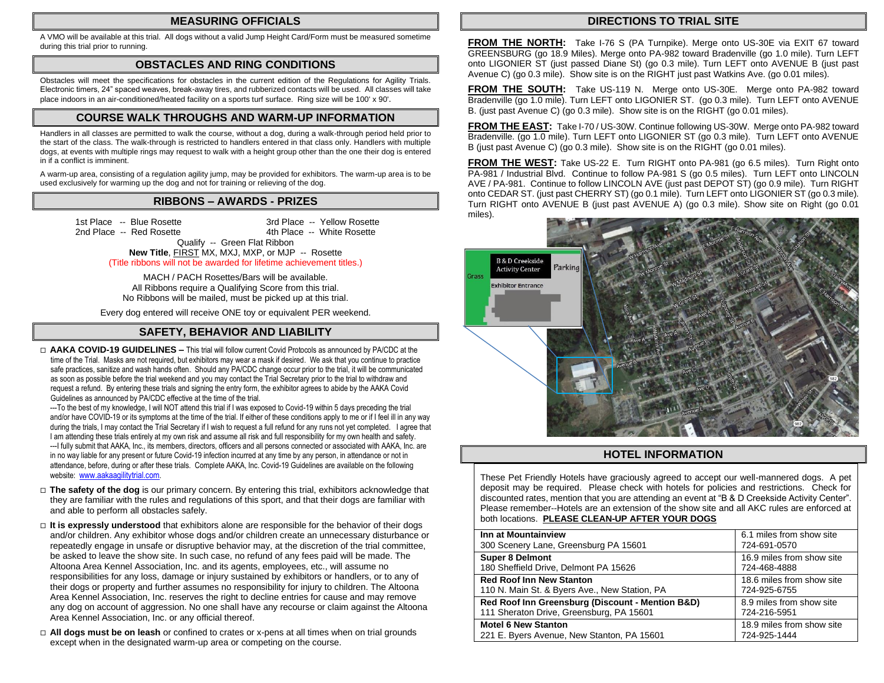### **MEASURING OFFICIALS**

A VMO will be available at this trial. All dogs without a valid Jump Height Card/Form must be measured sometime during this trial prior to running.

#### **OBSTACLES AND RING CONDITIONS**

Obstacles will meet the specifications for obstacles in the current edition of the Regulations for Agility Trials. Electronic timers, 24" spaced weaves, break-away tires, and rubberized contacts will be used. All classes will take place indoors in an air-conditioned/heated facility on a sports turf surface. Ring size will be 100' x 90'.

#### **COURSE WALK THROUGHS AND WARM-UP INFORMATION**

Handlers in all classes are permitted to walk the course, without a dog, during a walk-through period held prior to the start of the class. The walk-through is restricted to handlers entered in that class only. Handlers with multiple dogs, at events with multiple rings may request to walk with a height group other than the one their dog is entered in if a conflict is imminent.

A warm-up area, consisting of a regulation agility jump, may be provided for exhibitors. The warm-up area is to be used exclusively for warming up the dog and not for training or relieving of the dog.

#### **RIBBONS – AWARDS - PRIZES**

1st Place -- Blue Rosette 3rd Place -- Yellow Rosette<br>2nd Place -- Red Rosette 3rd Place -- White Rosette

4th Place -- White Rosette

Qualify -- Green Flat Ribbon **New Title**, FIRST MX, MXJ, MXP, or MJP -- Rosette (Title ribbons will not be awarded for lifetime achievement titles.)

MACH / PACH Rosettes/Bars will be available. All Ribbons require a Qualifying Score from this trial. No Ribbons will be mailed, must be picked up at this trial.

Every dog entered will receive ONE toy or equivalent PER weekend.

#### **SAFETY, BEHAVIOR AND LIABILITY**

 **AAKA COVID-19 GUIDELINES –** This trial will follow current Covid Protocols as announced by PA/CDC at the time of the Trial. Masks are not required, but exhibitors may wear a mask if desired. We ask that you continue to practice safe practices, sanitize and wash hands often. Should any PA/CDC change occur prior to the trial, it will be communicated as soon as possible before the trial weekend and you may contact the Trial Secretary prior to the trial to withdraw and request a refund. By entering these trials and signing the entry form, the exhibitor agrees to abide by the AAKA Covid Guidelines as announced by PA/CDC effective at the time of the trial.

---To the best of my knowledge, I will NOT attend this trial if I was exposed to Covid-19 within 5 days preceding the trial and/or have COVID-19 or its symptoms at the time of the trial. If either of these conditions apply to me or if I feel ill in any way during the trials, I may contact the Trial Secretary if I wish to request a full refund for any runs not yet completed. I agree that I am attending these trials entirely at my own risk and assume all risk and full responsibility for my own health and safety. ---I fully submit that AAKA, Inc., its members, directors, officers and all persons connected or associated with AAKA, Inc. are in no way liable for any present or future Covid-19 infection incurred at any time by any person, in attendance or not in attendance, before, during or after these trials. Complete AAKA, Inc. Covid-19 Guidelines are available on the following website: [www.aakaagilitytrial.com](http://www.aakaagilitytrial.com/).

- □ The safety of the dog is our primary concern. By entering this trial, exhibitors acknowledge that they are familiar with the rules and regulations of this sport, and that their dogs are familiar with and able to perform all obstacles safely.
- □ It is expressly understood that exhibitors alone are responsible for the behavior of their dogs and/or children. Any exhibitor whose dogs and/or children create an unnecessary disturbance or repeatedly engage in unsafe or disruptive behavior may, at the discretion of the trial committee, be asked to leave the show site. In such case, no refund of any fees paid will be made. The Altoona Area Kennel Association, Inc. and its agents, employees, etc., will assume no responsibilities for any loss, damage or injury sustained by exhibitors or handlers, or to any of their dogs or property and further assumes no responsibility for injury to children. The Altoona Area Kennel Association, Inc. reserves the right to decline entries for cause and may remove any dog on account of aggression. No one shall have any recourse or claim against the Altoona Area Kennel Association, Inc. or any official thereof.
- □ **All dogs must be on leash** or confined to crates or x-pens at all times when on trial grounds except when in the designated warm-up area or competing on the course.

## **DIRECTIONS TO TRIAL SITE**

**FROM THE NORTH:** Take I-76 S (PA Turnpike). Merge onto US-30E via EXIT 67 toward GREENSBURG (go 18.9 Miles). Merge onto PA-982 toward Bradenville (go 1.0 mile). Turn LEFT onto LIGONIER ST (just passed Diane St) (go 0.3 mile). Turn LEFT onto AVENUE B (just past Avenue C) (go 0.3 mile). Show site is on the RIGHT just past Watkins Ave. (go 0.01 miles).

**FROM THE SOUTH:** Take US-119 N. Merge onto US-30E. Merge onto PA-982 toward Bradenville (go 1.0 mile). Turn LEFT onto LIGONIER ST. (go 0.3 mile). Turn LEFT onto AVENUE B. (just past Avenue C) (go 0.3 mile). Show site is on the RIGHT (go 0.01 miles).

**FROM THE EAST:** Take I-70 / US-30W. Continue following US-30W. Merge onto PA-982 toward Bradenville. (go 1.0 mile). Turn LEFT onto LIGONIER ST (go 0.3 mile). Turn LEFT onto AVENUE B (just past Avenue C) (go 0.3 mile). Show site is on the RIGHT (go 0.01 miles).

**FROM THE WEST:** Take US-22 E. Turn RIGHT onto PA-981 (go 6.5 miles). Turn Right onto PA-981 / Industrial Blvd. Continue to follow PA-981 S (go 0.5 miles). Turn LEFT onto LINCOLN AVE / PA-981. Continue to follow LINCOLN AVE (just past DEPOT ST) (go 0.9 mile). Turn RIGHT onto CEDAR ST. (just past CHERRY ST) (go 0.1 mile). Turn LEFT onto LIGONIER ST (go 0.3 mile). Turn RIGHT onto AVENUE B (just past AVENUE A) (go 0.3 mile). Show site on Right (go 0.01 miles).



## **HOTEL INFORMATION**

These Pet Friendly Hotels have graciously agreed to accept our well-mannered dogs. A pet deposit may be required. Please check with hotels for policies and restrictions. Check for discounted rates, mention that you are attending an event at "B & D Creekside Activity Center". Please remember--Hotels are an extension of the show site and all AKC rules are enforced at both locations. **PLEASE CLEAN-UP AFTER YOUR DOGS**

| Inn at Mountainview                              | 6.1 miles from show site  |
|--------------------------------------------------|---------------------------|
| 300 Scenery Lane, Greensburg PA 15601            | 724-691-0570              |
| <b>Super 8 Delmont</b>                           | 16.9 miles from show site |
| 180 Sheffield Drive, Delmont PA 15626            | 724-468-4888              |
| <b>Red Roof Inn New Stanton</b>                  | 18.6 miles from show site |
| 110 N. Main St. & Byers Ave., New Station, PA    | 724-925-6755              |
| Red Roof Inn Greensburg (Discount - Mention B&D) | 8.9 miles from show site  |
| 111 Sheraton Drive, Greensburg, PA 15601         | 724-216-5951              |
| <b>Motel 6 New Stanton</b>                       | 18.9 miles from show site |
| 221 E. Byers Avenue, New Stanton, PA 15601       | 724-925-1444              |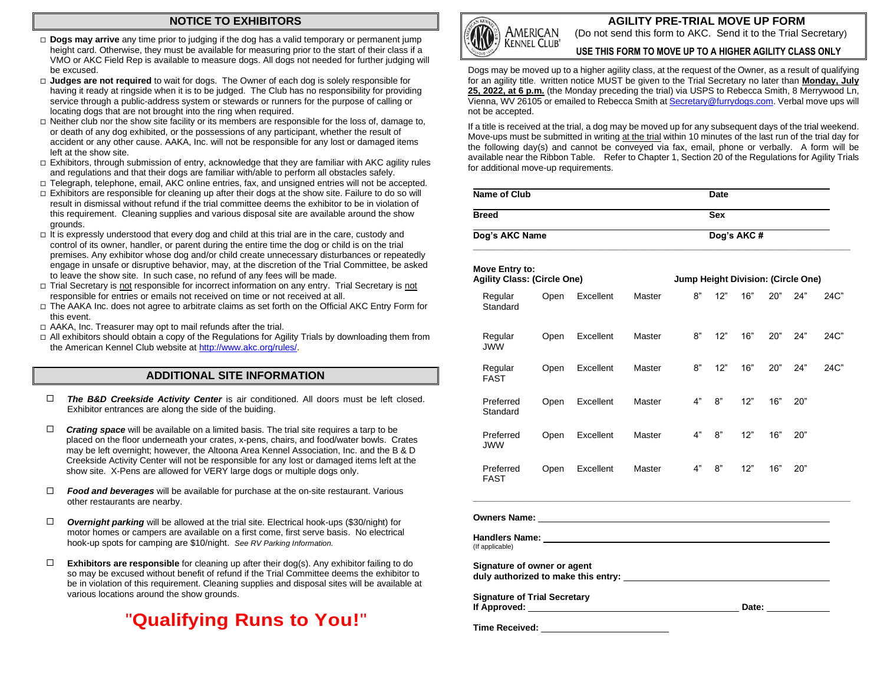## **NOTICE TO EXHIBITORS**

- □ **Dogs may arrive** any time prior to judging if the dog has a valid temporary or permanent jump height card. Otherwise, they must be available for measuring prior to the start of their class if a VMO or AKC Field Rep is available to measure dogs. All dogs not needed for further judging will be excused.
- □ **Judges are not required** to wait for dogs. The Owner of each dog is solely responsible for having it ready at ringside when it is to be judged. The Club has no responsibility for providing service through a public-address system or stewards or runners for the purpose of calling or locating dogs that are not brought into the ring when required.
- $\Box$  Neither club nor the show site facility or its members are responsible for the loss of, damage to, or death of any dog exhibited, or the possessions of any participant, whether the result of accident or any other cause. AAKA, Inc. will not be responsible for any lost or damaged items left at the show site.
- $\Box$  Exhibitors, through submission of entry, acknowledge that they are familiar with AKC agility rules and regulations and that their dogs are familiar with/able to perform all obstacles safely.
- □ Telegraph, telephone, email, AKC online entries, fax, and unsigned entries will not be accepted.
- $\Box$  Exhibitors are responsible for cleaning up after their dogs at the show site. Failure to do so will result in dismissal without refund if the trial committee deems the exhibitor to be in violation of this requirement. Cleaning supplies and various disposal site are available around the show grounds.
- $\Box$  It is expressly understood that every dog and child at this trial are in the care, custody and control of its owner, handler, or parent during the entire time the dog or child is on the trial premises. Any exhibitor whose dog and/or child create unnecessary disturbances or repeatedly engage in unsafe or disruptive behavior, may, at the discretion of the Trial Committee, be asked to leave the show site. In such case, no refund of any fees will be made.
- □ Trial Secretary is not responsible for incorrect information on any entry. Trial Secretary is not responsible for entries or emails not received on time or not received at all.
- □ The AAKA Inc. does not agree to arbitrate claims as set forth on the Official AKC Entry Form for this event.
- □ AAKA, Inc. Treasurer may opt to mail refunds after the trial.
- $\Box$  All exhibitors should obtain a copy of the Regulations for Agility Trials by downloading them from the American Kennel Club website a[t http://www.akc.org/rules/.](http://www.akc.org/rules/)

## **ADDITIONAL SITE INFORMATION**

- *The B&D Creekside Activity Center* is air conditioned. All doors must be left closed. Exhibitor entrances are along the side of the buiding.
- *Crating space* will be available on a limited basis. The trial site requires a tarp to be placed on the floor underneath your crates, x-pens, chairs, and food/water bowls. Crates may be left overnight; however, the Altoona Area Kennel Association, Inc. and the B & D Creekside Activity Center will not be responsible for any lost or damaged items left at the show site. X-Pens are allowed for VERY large dogs or multiple dogs only.
- *Food and beverages* will be available for purchase at the on-site restaurant. Various other restaurants are nearby.
- *Overnight parking* will be allowed at the trial site. Electrical hook-ups (\$30/night) for motor homes or campers are available on a first come, first serve basis. No electrical hook-up spots for camping are \$10/night. *See RV Parking Information.*
- **Exhibitors are responsible** for cleaning up after their dog(s). Any exhibitor failing to do so may be excused without benefit of refund if the Trial Committee deems the exhibitor to be in violation of this requirement. Cleaning supplies and disposal sites will be available at various locations around the show grounds.

# "**Qualifying Runs to You!**"



**AGILITY PRE-TRIAL MOVE UP FORM**<br>AMERICAN (Do not send this form to AKC. Send it to the Trial S AMERICAN (Do not send this form to AKC. Send it to the Trial Secretary)<br>KENNEL CLUB®

#### **USE THIS FORM TO MOVE UP TO A HIGHER AGILITY CLASS ONLY**

Dogs may be moved up to a higher agility class, at the request of the Owner, as a result of qualifying for an agility title. Written notice MUST be given to the Trial Secretary no later than **Monday, July 25, 2022, at 6 p.m.** (the Monday preceding the trial) via USPS to Rebecca Smith, 8 Merrywood Ln, Vienna, WV 26105 or emailed to Rebecca Smith a[t Secretary@furrydogs.com.](mailto:Secretary@furrydogs.com) Verbal move ups will not be accepted.

If a title is received at the trial, a dog may be moved up for any subsequent days of the trial weekend. Move-ups must be submitted in writing at the trial within 10 minutes of the last run of the trial day for the following day(s) and cannot be conveyed via fax, email, phone or verbally. A form will be available near the Ribbon Table. Refer to Chapter 1, Section 20 of the Regulations for Agility Trials for additional move-up requirements.

| <b>Name of Club</b> | Date       |  |
|---------------------|------------|--|
| <b>Breed</b>        | <b>Sex</b> |  |
| Dog's AKC Name      | Dog's AKC# |  |

| Move Entry to:<br><b>Agility Class: (Circle One)</b> |      |           | Jump Height Division: (Circle One) |    |     |     |     |     |      |
|------------------------------------------------------|------|-----------|------------------------------------|----|-----|-----|-----|-----|------|
| Regular<br>Standard                                  | Open | Excellent | Master                             | 8" | 12" | 16" | 20" | 24" | 24C" |
| Regular<br><b>JWW</b>                                | Open | Excellent | Master                             | 8" | 12" | 16" | 20" | 24" | 24C" |
| Regular<br><b>FAST</b>                               | Open | Excellent | Master                             | 8" | 12" | 16" | 20" | 24" | 24C" |
| Preferred<br>Standard                                | Open | Excellent | Master                             | 4" | 8"  | 12" | 16" | 20" |      |
| Preferred<br><b>JWW</b>                              | Open | Excellent | Master                             | 4" | 8"  | 12" | 16" | 20" |      |
| Preferred<br><b>FAST</b>                             | Open | Excellent | Master                             | 4" | 8"  | 12" | 16" | 20" |      |
| <b>Owners Name:</b>                                  |      |           |                                    |    |     |     |     |     |      |

**Handlers Name:** 

(If applicable)

**Signature of owner or agent duly authorized to make this entry:** 

**Signature of Trial Secretary If Approved: Date:**

**Time Received:**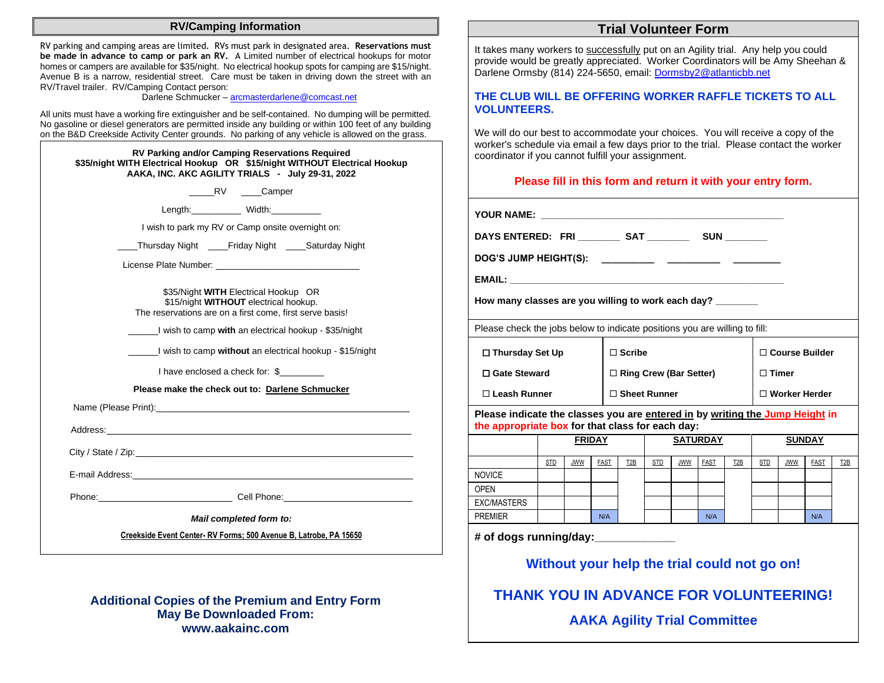#### **RV/Camping Information**

RV parking and camping areas are limited. RVs must park in designated area. **Reservations must be made in advance to camp or park an RV.** A Limited number of electrical hookups for motor homes or campers are available for \$35/night. No electrical hookup spots for camping are \$15/night. Avenue B is a narrow, residential street. Care must be taken in driving down the street with an RV/Travel trailer. RV/Camping Contact person:

Darlene Schmucker – [arcmasterdarlene@comcast.net](mailto:arcmasterdarlene@comcast.net)

All units must have a working fire extinguisher and be self-contained. No dumping will be permitted. No gasoline or diesel generators are permitted inside any building or within 100 feet of any building on the B&D Creekside Activity Center grounds. No parking of any vehicle is allowed on the grass.

#### **RV Parking and/or Camping Reservations Required \$35/night WITH Electrical Hookup OR \$15/night WITHOUT Electrical Hookup AAKA, INC. AKC AGILITY TRIALS - July 29-31, 2022**

\_\_\_\_\_RV \_\_\_\_Camper

Length: Width:

I wish to park my RV or Camp onsite overnight on:

\_\_\_\_Thursday Night \_\_\_\_Friday Night \_\_\_\_Saturday Night

License Plate Number: **License Plate** Number:

\$35/Night **WITH** Electrical Hookup OR \$15/night **WITHOUT** electrical hookup. The reservations are on a first come, first serve basis!

\_\_\_\_\_\_I wish to camp **with** an electrical hookup - \$35/night

\_\_\_\_\_\_I wish to camp **without** an electrical hookup - \$15/night

I have enclosed a check for: \$

**Please make the check out to: Darlene Schmucker**

Name (Please Print): \_\_\_\_\_\_\_\_\_\_\_\_\_\_\_\_\_\_\_\_\_\_\_\_\_\_\_\_\_\_\_\_\_\_\_\_\_\_\_\_\_\_\_\_\_\_\_\_\_\_

Address: \_\_\_\_\_\_\_\_\_\_\_\_\_\_\_\_\_\_\_\_\_\_\_\_\_\_\_\_\_\_\_\_\_\_\_\_\_\_\_\_\_\_\_\_\_\_\_\_\_\_\_\_\_\_\_\_\_\_\_\_\_

City / State / Zip: \_\_\_\_\_\_\_\_\_\_\_\_\_\_\_\_\_\_\_\_\_\_\_\_\_\_\_\_\_\_\_\_\_\_\_\_\_\_\_\_\_\_\_\_\_\_\_\_\_\_\_\_\_

E-mail Address: \_\_\_\_\_\_\_\_\_\_\_\_\_\_\_\_\_\_\_\_\_\_\_\_\_\_\_\_\_\_\_\_\_\_\_\_\_\_\_\_\_\_\_\_\_\_\_\_\_\_\_\_\_\_\_\_

Phone: etc. and a set of the Cell Phone: etc. and a set of the set of the set of the set of the set of the set of the set of the set of the set of the set of the set of the set of the set of the set of the set of the set o

*Mail completed form to:*

**Creekside Event Center- RV Forms; 500 Avenue B, Latrobe, PA 15650**

**Additional Copies of the Premium and Entry Form May Be Downloaded From: [www.aakainc.com](http://www.aakainc.com/)**

## **Trial Volunteer Form**

It takes many workers to successfully put on an Agility trial. Any help you could provide would be greatly appreciated. Worker Coordinators will be Amy Sheehan & Darlene Ormsby (814) 224-5650, email: [Dormsby2@atlanticbb.net](mailto:Dormsby2@atlanticbb.net)

## **THE CLUB WILL BE OFFERING WORKER RAFFLE TICKETS TO ALL VOLUNTEERS.**

We will do our best to accommodate your choices. You will receive a copy of the worker's schedule via email a few days prior to the trial. Please contact the worker coordinator if you cannot fulfill your assignment.

## **Please fill in this form and return it with your entry form.**

| <b>YOUR NAME:</b> The contract of the contract of the contract of the contract of the contract of the contract of the contract of the contract of the contract of the contract of the contract of the contract of the contract of t |                                                            |     |               |                       |                                               |     |                 |                  |            |     |               |                  |
|-------------------------------------------------------------------------------------------------------------------------------------------------------------------------------------------------------------------------------------|------------------------------------------------------------|-----|---------------|-----------------------|-----------------------------------------------|-----|-----------------|------------------|------------|-----|---------------|------------------|
|                                                                                                                                                                                                                                     | DAYS ENTERED: FRI __________ SAT ___________ SUN _________ |     |               |                       |                                               |     |                 |                  |            |     |               |                  |
|                                                                                                                                                                                                                                     |                                                            |     |               |                       |                                               |     |                 |                  |            |     |               |                  |
|                                                                                                                                                                                                                                     |                                                            |     |               |                       |                                               |     |                 |                  |            |     |               |                  |
| How many classes are you willing to work each day?                                                                                                                                                                                  |                                                            |     |               |                       |                                               |     |                 |                  |            |     |               |                  |
| Please check the jobs below to indicate positions you are willing to fill:                                                                                                                                                          |                                                            |     |               |                       |                                               |     |                 |                  |            |     |               |                  |
| $\Box$ Scribe<br>□ Thursday Set Up                                                                                                                                                                                                  |                                                            |     |               | $\Box$ Course Builder |                                               |     |                 |                  |            |     |               |                  |
| □ Gate Steward                                                                                                                                                                                                                      |                                                            |     |               |                       | $\Box$ Ring Crew (Bar Setter)<br>$\Box$ Timer |     |                 |                  |            |     |               |                  |
| $\Box$ Leash Runner                                                                                                                                                                                                                 |                                                            |     |               |                       | □ Sheet Runner<br>$\Box$ Worker Herder        |     |                 |                  |            |     |               |                  |
| Please indicate the classes you are entered in by writing the Jump Height in<br>the appropriate box for that class for each day:                                                                                                    |                                                            |     |               |                       |                                               |     |                 |                  |            |     |               |                  |
|                                                                                                                                                                                                                                     |                                                            |     | <b>FRIDAY</b> |                       |                                               |     | <b>SATURDAY</b> |                  |            |     | <b>SUNDAY</b> |                  |
|                                                                                                                                                                                                                                     | <b>STD</b>                                                 | JWW | FAST          | T <sub>2</sub> B      | STD                                           | JWW | <b>FAST</b>     | T <sub>2</sub> B | <b>STD</b> | JWW | FAST          | T <sub>2</sub> B |
| <b>NOVICE</b>                                                                                                                                                                                                                       |                                                            |     |               |                       |                                               |     |                 |                  |            |     |               |                  |
| <b>OPEN</b>                                                                                                                                                                                                                         |                                                            |     |               |                       |                                               |     |                 |                  |            |     |               |                  |
| <b>EXC/MASTERS</b>                                                                                                                                                                                                                  |                                                            |     |               |                       |                                               |     |                 |                  |            |     |               |                  |
| <b>PREMIER</b>                                                                                                                                                                                                                      |                                                            |     | N/A           |                       |                                               |     | N/A             |                  |            |     | N/A           |                  |
| # of dogs running/day:                                                                                                                                                                                                              |                                                            |     |               |                       |                                               |     |                 |                  |            |     |               |                  |

**Without your help the trial could not go on!**

**THANK YOU IN ADVANCE FOR VOLUNTEERING!**

**AAKA Agility Trial Committee**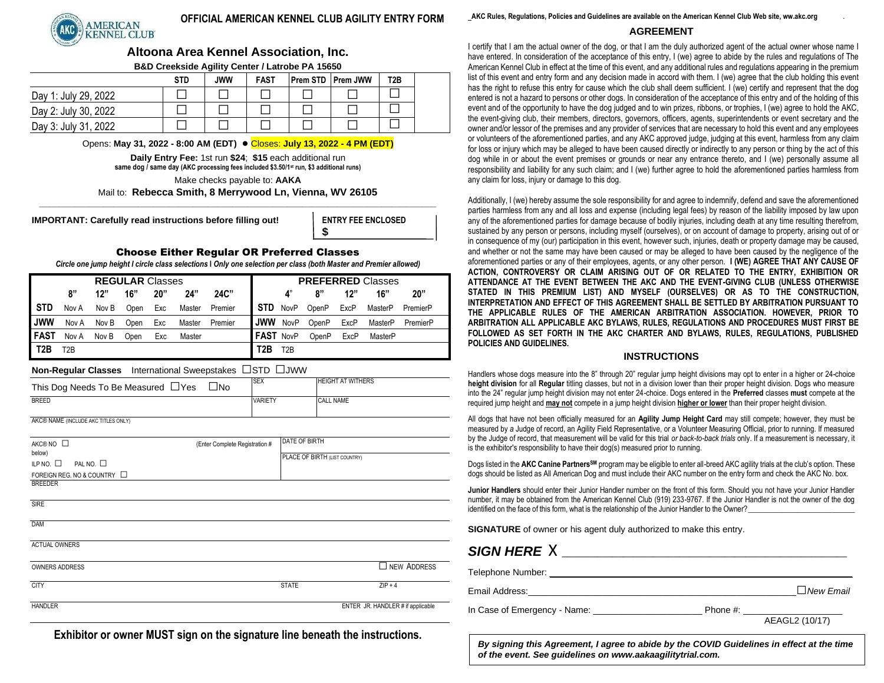

## **OFFICIAL AMERICAN KENNEL CLUB AGILITY ENTRY FORM**

 **AKC Rules, Regulations, Policies and Guidelines are available on the American Kennel Club Web site, ww.akc.org** .

#### **AGREEMENT**

I certify that I am the actual owner of the dog, or that I am the duly authorized agent of the actual owner whose name I have entered. In consideration of the acceptance of this entry, I (we) agree to abide by the rules and regulations of The American Kennel Club in effect at the time of this event, and any additional rules and regulations appearing in the premium list of this event and entry form and any decision made in accord with them. I (we) agree that the club holding this event has the right to refuse this entry for cause which the club shall deem sufficient. I (we) certify and represent that the dog entered is not a hazard to persons or other dogs. In consideration of the acceptance of this entry and of the holding of this event and of the opportunity to have the dog judged and to win prizes, ribbons, or trophies, I (we) agree to hold the AKC, the event-giving club, their members, directors, governors, officers, agents, superintendents or event secretary and the owner and/or lessor of the premises and any provider of services that are necessary to hold this event and any employees or volunteers of the aforementioned parties, and any AKC approved judge, judging at this event, harmless from any claim for loss or injury which may be alleged to have been caused directly or indirectly to any person or thing by the act of this dog while in or about the event premises or grounds or near any entrance thereto, and I (we) personally assume all responsibility and liability for any such claim; and I (we) further agree to hold the aforementioned parties harmless from any claim for loss, injury or damage to this dog.

Additionally, I (we) hereby assume the sole responsibility for and agree to indemnify, defend and save the aforementioned parties harmless from any and all loss and expense (including legal fees) by reason of the liability imposed by law upon any of the aforementioned parties for damage because of bodily injuries, including death at any time resulting therefrom, sustained by any person or persons, including myself (ourselves), or on account of damage to property, arising out of or in consequence of my (our) participation in this event, however such, injuries, death or property damage may be caused, and whether or not the same may have been caused or may be alleged to have been caused by the negligence of the aforementioned parties or any of their employees, agents, or any other person. **I (WE) AGREE THAT ANY CAUSE OF ACTION, CONTROVERSY OR CLAIM ARISING OUT OF OR RELATED TO THE ENTRY, EXHIBITION OR ATTENDANCE AT THE EVENT BETWEEN THE AKC AND THE EVENT-GIVING CLUB (UNLESS OTHERWISE STATED IN THIS PREMIUM LIST) AND MYSELF (OURSELVES) OR AS TO THE CONSTRUCTION, INTERPRETATION AND EFFECT OF THIS AGREEMENT SHALL BE SETTLED BY ARBITRATION PURSUANT TO THE APPLICABLE RULES OF THE AMERICAN ARBITRATION ASSOCIATION. HOWEVER, PRIOR TO ARBITRATION ALL APPLICABLE AKC BYLAWS, RULES, REGULATIONS AND PROCEDURES MUST FIRST BE FOLLOWED AS SET FORTH IN THE AKC CHARTER AND BYLAWS, RULES, REGULATIONS, PUBLISHED POLICIES AND GUIDELINES.**

#### **INSTRUCTIONS**

Handlers whose dogs measure into the 8" through 20" regular jump height divisions may opt to enter in a higher or 24-choice **height division** for all **Regular** titling classes, but not in a division lower than their proper height division. Dogs who measure into the 24" regular jump height division may not enter 24-choice. Dogs entered in the **Preferred** classes **must** compete at the required jump height and **may not** compete in a jump height division **higher or lower** than their proper height division.

All dogs that have not been officially measured for an **Agility Jump Height Card** may still compete; however, they must be measured by *a* Judge of record, an Agility Field Representative, or a Volunteer Measuring Official, prior to running. If measured by the Judge of record, that measurement will be valid for this trial *or back-to-back trials* only. If a measurement is necessary, it is the exhibitor's responsibility to have their dog(s) measured prior to running.

Dogs listed in the **AKC Canine PartnersSM** program may be eligible to enter all-breed AKC agility trials at the club's option. These dogs should be listed as All American Dog and must include their AKC number on the entry form and check the AKC No. box.

**Junior Handlers** should enter their Junior Handler number on the front of this form. Should you not have your Junior Handler number, it may be obtained from the American Kennel Club (919) 233-9767. If the Junior Handler is not the owner of the dog identified on the face of this form, what is the relationship of the Junior Handler to the Owner?

**SIGNATURE** of owner or his agent duly authorized to make this entry.

# *SIGN HERE* X **\_\_\_\_\_\_\_\_\_\_\_\_\_\_\_\_\_\_\_\_\_\_\_\_\_\_\_\_\_\_\_\_\_\_\_\_\_\_\_\_\_\_\_\_\_\_\_\_\_\_\_\_\_\_\_\_**

Telephone Number: \_\_\_\_\_\_\_\_\_\_\_\_\_\_\_\_\_\_\_\_\_\_\_\_\_\_\_\_\_\_\_\_\_\_\_\_\_\_\_\_\_\_\_\_\_\_\_\_\_\_\_\_\_\_\_\_\_\_\_\_\_

Email Address:\_\_\_\_\_\_\_\_\_\_\_\_\_\_\_\_\_\_\_\_\_\_\_\_\_\_\_\_\_\_\_\_\_\_\_\_\_\_\_\_\_\_\_\_\_\_\_\_\_\_\_\_\_\_□*New Email*

In Case of Emergency - Name: \_\_\_\_\_\_\_\_\_\_\_\_\_\_\_\_\_\_\_\_\_\_ Phone #: \_\_\_\_\_\_\_\_\_\_\_\_\_\_\_\_\_\_\_\_

*By signing this Agreement, I agree to abide by the COVID Guidelines in effect at the time of the event. See guidelines on www.aakaagilitytrial.com.*

**Altoona Area Kennel Association, Inc.**

**B&D Creekside Agility Center / Latrobe PA 15650**

|                      | <b>STD</b> | <b>JWW</b> | <b>FAST</b> | <b>Prem STD Prem JWW</b> | T <sub>2</sub> B |  |
|----------------------|------------|------------|-------------|--------------------------|------------------|--|
| Day 1: July 29, 2022 |            |            |             |                          |                  |  |
| Day 2: July 30, 2022 |            |            |             |                          |                  |  |
| Day 3: July 31, 2022 |            |            |             |                          |                  |  |

Opens: **May 31, 2022 - 8:00 AM (EDT) ●** Closes: **July 13, 2022 - 4 PM (EDT)**

**Daily Entry Fee:** 1st run **\$24**; **\$15** each additional run **same dog / same day (AKC processing fees included \$3.50/1st run, \$3 additional runs)**

Make checks payable to: **AAKA**

Mail to: **Rebecca Smith, 8 Merrywood Ln, Vienna, WV 26105 \_\_\_\_\_\_\_\_\_\_\_\_\_\_\_\_\_\_\_\_\_\_\_\_\_\_\_\_\_\_\_\_\_\_\_\_\_\_\_\_\_\_\_\_\_\_\_\_\_\_\_\_\_\_\_\_\_\_\_\_\_\_\_\_\_\_\_\_\_\_\_\_\_\_\_\_\_\_\_\_**

**IMPORTANT: Carefully read instructions before filling out! ENTRY FEE ENCLOSED**

 **\$**

## Choose Either Regular OR Preferred Classes

*Circle one jump height l circle class selections* **l** *Only one selection per class (both Master and Premier allowed)*

| <b>REGULAR Classes</b> |       |       |      |     |        | <b>PREFERRED Classes</b> |                  |            |       |      |         |          |  |
|------------------------|-------|-------|------|-----|--------|--------------------------|------------------|------------|-------|------|---------|----------|--|
|                        | 8"    | 12"   | 16"  | 20" | 24"    | 24C"                     |                  | <b>A</b> " | 8"    | 12"  | 16"     | 20"      |  |
| I STD                  | Nov A | Nov B | Open | Exc | Master | Premier                  | <b>STD</b>       | NovP       | OpenP | ExcP | MasterP | PremierP |  |
| l JWW                  | Nov A | Nov B | Open | Exc | Master | Premier                  | JWW              | NovP       | OpenP | ExcP | MasterP | PremierP |  |
| <b>FAST</b>            | Nov A | Nov B | Open | Exc | Master |                          | <b>FAST NovP</b> |            | OpenP | ExcP | MasterP |          |  |
| $I$ T <sub>2</sub> B   | T2B   |       |      |     |        |                          | T2B              | T2B        |       |      |         |          |  |

**Non-Regular Classes** International Sweepstakes □STD □JWW

| This Dog Needs To Be Measured ∐Yes | ⊿No | <b>SEX</b>     | <b>HEIGHT AT WITHERS</b> |
|------------------------------------|-----|----------------|--------------------------|
| <b>BREED</b>                       |     | <b>VARIETY</b> | <b>CALL NAME</b>         |

AKC® NAME (INCLUDE AKC TITLES ONLY)

| AKC® NO □                           | (Enter Complete Registration # | DATE OF BIRTH                 |                       |
|-------------------------------------|--------------------------------|-------------------------------|-----------------------|
| below)                              |                                | PLACE OF BIRTH (LIST COUNTRY) |                       |
| PAL NO. $\square$<br>ILP NO. $\Box$ |                                |                               |                       |
| FOREIGN REG. NO & COUNTRY □         |                                |                               |                       |
| <b>BREEDER</b>                      |                                |                               |                       |
| <b>SIRE</b>                         |                                |                               |                       |
| <b>DAM</b>                          |                                |                               |                       |
| <b>ACTUAL OWNERS</b>                |                                |                               |                       |
| <b>OWNERS ADDRESS</b>               |                                |                               | $\square$ new Address |
| <b>CITY</b>                         |                                | <b>STATE</b>                  | $ZIP + 4$             |

**Exhibitor or owner MUST sign on the signature line beneath the instructions.**

HANDLER ENTER JR. HANDLER # if applicable